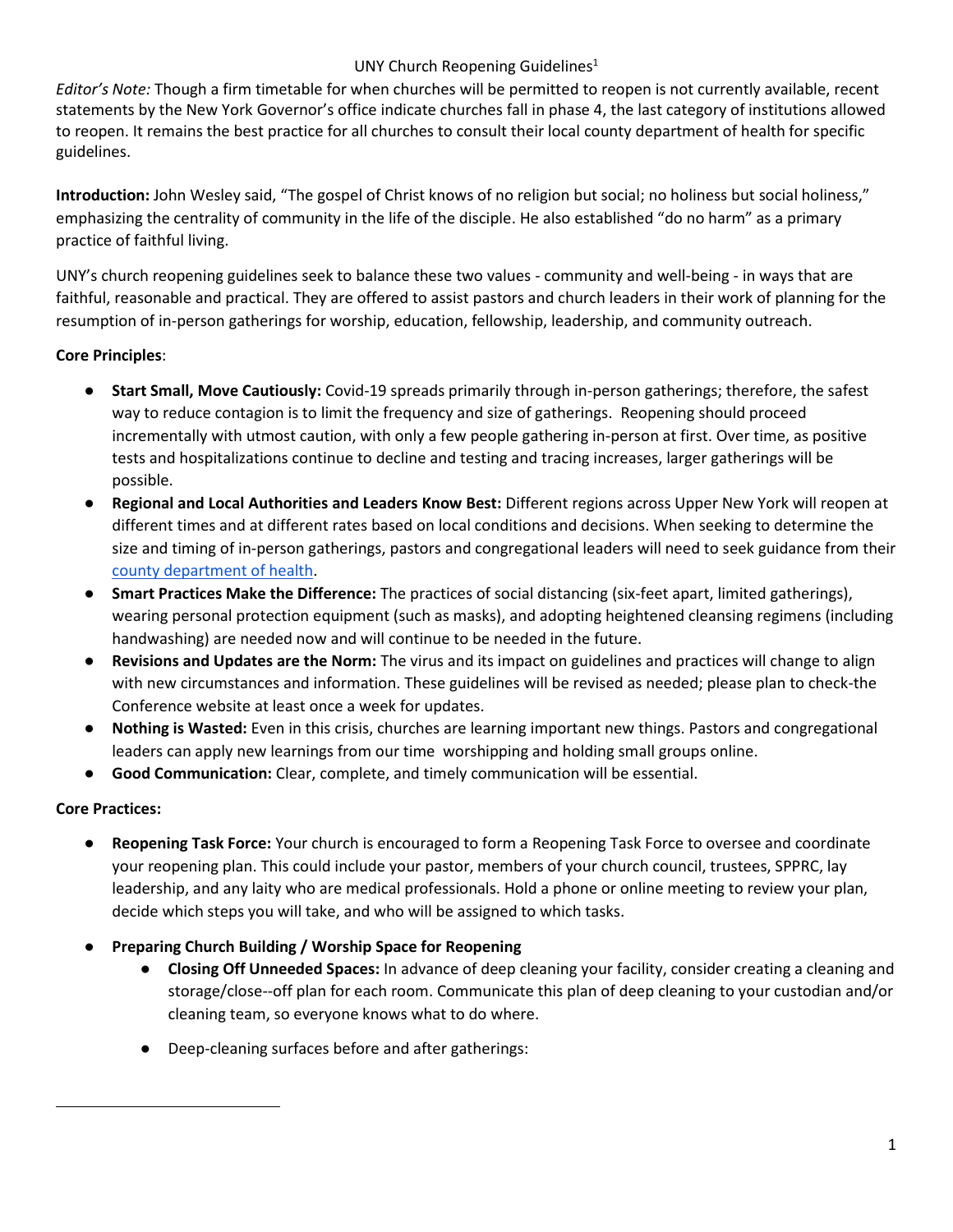## UNY Church Reopening Guidelines<sup>1</sup>

*Editor's Note:* Though a firm timetable for when churches will be permitted to reopen is not currently available, recent statements by the New York Governor's office indicate churches fall in phase 4, the last category of institutions allowed to reopen. It remains the best practice for all churches to consult their local county department of health for specific guidelines.

**Introduction:** John Wesley said, "The gospel of Christ knows of no religion but social; no holiness but social holiness," emphasizing the centrality of community in the life of the disciple. He also established "do no harm" as a primary practice of faithful living.

UNY's church reopening guidelines seek to balance these two values - community and well-being - in ways that are faithful, reasonable and practical. They are offered to assist pastors and church leaders in their work of planning for the resumption of in-person gatherings for worship, education, fellowship, leadership, and community outreach.

# **Core Principles**:

- **Start Small, Move Cautiously:** Covid-19 spreads primarily through in-person gatherings; therefore, the safest way to reduce contagion is to limit the frequency and size of gatherings. Reopening should proceed incrementally with utmost caution, with only a few people gathering in-person at first. Over time, as positive tests and hospitalizations continue to decline and testing and tracing increases, larger gatherings will be possible.
- **Regional and Local Authorities and Leaders Know Best:** Different regions across Upper New York will reopen at different times and at different rates based on local conditions and decisions. When seeking to determine the size and timing of in-person gatherings, pastors and congregational leaders will need to seek guidance from their [county department of health.](https://www.health.ny.gov/contact/contact_information/)
- **Smart Practices Make the Difference:** The practices of social distancing (six-feet apart, limited gatherings), wearing personal protection equipment (such as masks), and adopting heightened cleansing regimens (including handwashing) are needed now and will continue to be needed in the future.
- **Revisions and Updates are the Norm:** The virus and its impact on guidelines and practices will change to align with new circumstances and information. These guidelines will be revised as needed; please plan to check-the Conference website at least once a week for updates.
- **Nothing is Wasted:** Even in this crisis, churches are learning important new things. Pastors and congregational leaders can apply new learnings from our time worshipping and holding small groups online.
- **Good Communication:** Clear, complete, and timely communication will be essential.

# **Core Practices:**

- **Reopening Task Force:** Your church is encouraged to form a Reopening Task Force to oversee and coordinate your reopening plan. This could include your pastor, members of your church council, trustees, SPPRC, lay leadership, and any laity who are medical professionals. Hold a phone or online meeting to review your plan, decide which steps you will take, and who will be assigned to which tasks.
- **Preparing Church Building / Worship Space for Reopening**
	- **Closing Off Unneeded Spaces:** In advance of deep cleaning your facility, consider creating a cleaning and storage/close--off plan for each room. Communicate this plan of deep cleaning to your custodian and/or cleaning team, so everyone knows what to do where.
	- Deep-cleaning surfaces before and after gatherings: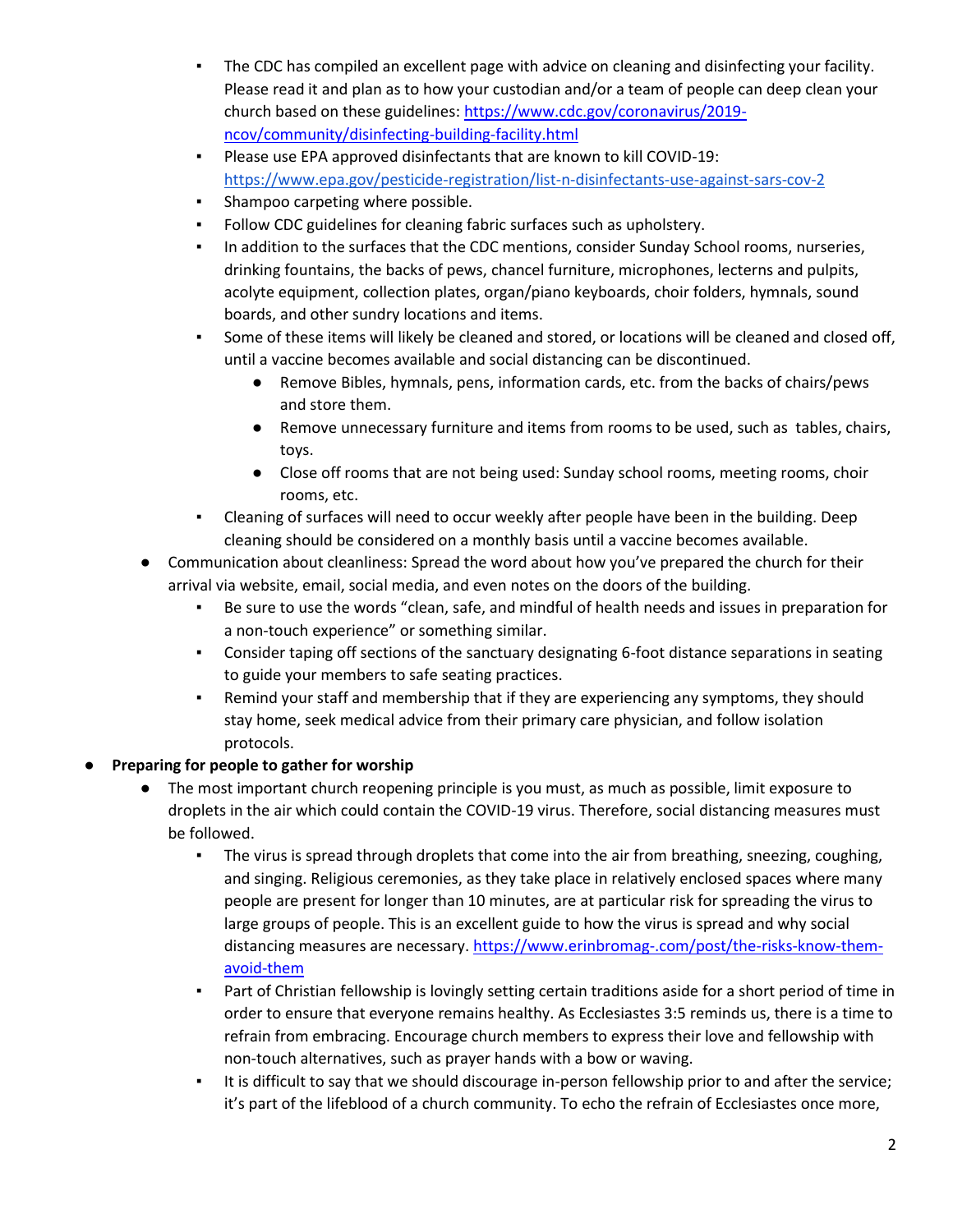- The CDC has compiled an excellent page with advice on cleaning and disinfecting your facility. Please read it and plan as to how your custodian and/or a team of people can deep clean your church based on these guidelines: [https://www.cdc.gov/coronavirus/2019](https://www.cdc.gov/coronavirus/2019-ncov/community/disinfecting-building-facility.html) [ncov/community/disinfecting-building-facility.html](https://www.cdc.gov/coronavirus/2019-ncov/community/disinfecting-building-facility.html)
- Please use EPA approved disinfectants that are known to kill COVID-19: <https://www.epa.gov/pesticide-registration/list-n-disinfectants-use-against-sars-cov-2>
- **•** Shampoo carpeting where possible.
- Follow CDC guidelines for cleaning fabric surfaces such as upholstery.
- **·** In addition to the surfaces that the CDC mentions, consider Sunday School rooms, nurseries, drinking fountains, the backs of pews, chancel furniture, microphones, lecterns and pulpits, acolyte equipment, collection plates, organ/piano keyboards, choir folders, hymnals, sound boards, and other sundry locations and items.
- Some of these items will likely be cleaned and stored, or locations will be cleaned and closed off, until a vaccine becomes available and social distancing can be discontinued.
	- Remove Bibles, hymnals, pens, information cards, etc. from the backs of chairs/pews and store them.
	- Remove unnecessary furniture and items from rooms to be used, such as tables, chairs, toys.
	- Close off rooms that are not being used: Sunday school rooms, meeting rooms, choir rooms, etc.
- Cleaning of surfaces will need to occur weekly after people have been in the building. Deep cleaning should be considered on a monthly basis until a vaccine becomes available.
- Communication about cleanliness: Spread the word about how you've prepared the church for their arrival via website, email, social media, and even notes on the doors of the building.
	- Be sure to use the words "clean, safe, and mindful of health needs and issues in preparation for a non-touch experience" or something similar.
	- **•** Consider taping off sections of the sanctuary designating 6-foot distance separations in seating to guide your members to safe seating practices.
	- Remind your staff and membership that if they are experiencing any symptoms, they should stay home, seek medical advice from their primary care physician, and follow isolation protocols.

# Preparing for people to gather for worship

- The most important church reopening principle is you must, as much as possible, limit exposure to droplets in the air which could contain the COVID-19 virus. Therefore, social distancing measures must be followed.
	- The virus is spread through droplets that come into the air from breathing, sneezing, coughing, and singing. Religious ceremonies, as they take place in relatively enclosed spaces where many people are present for longer than 10 minutes, are at particular risk for spreading the virus to large groups of people. This is an excellent guide to how the virus is spread and why social distancing measures are necessary. [https://www.erinbromag-.com/post/the-risks-know-them](https://www.erinbromag-.com/post/the-risks-know-them-avoid-them)[avoid-them](https://www.erinbromag-.com/post/the-risks-know-them-avoid-them)
	- Part of Christian fellowship is lovingly setting certain traditions aside for a short period of time in order to ensure that everyone remains healthy. As Ecclesiastes 3:5 reminds us, there is a time to refrain from embracing. Encourage church members to express their love and fellowship with non-touch alternatives, such as prayer hands with a bow or waving.
	- It is difficult to say that we should discourage in-person fellowship prior to and after the service; it's part of the lifeblood of a church community. To echo the refrain of Ecclesiastes once more,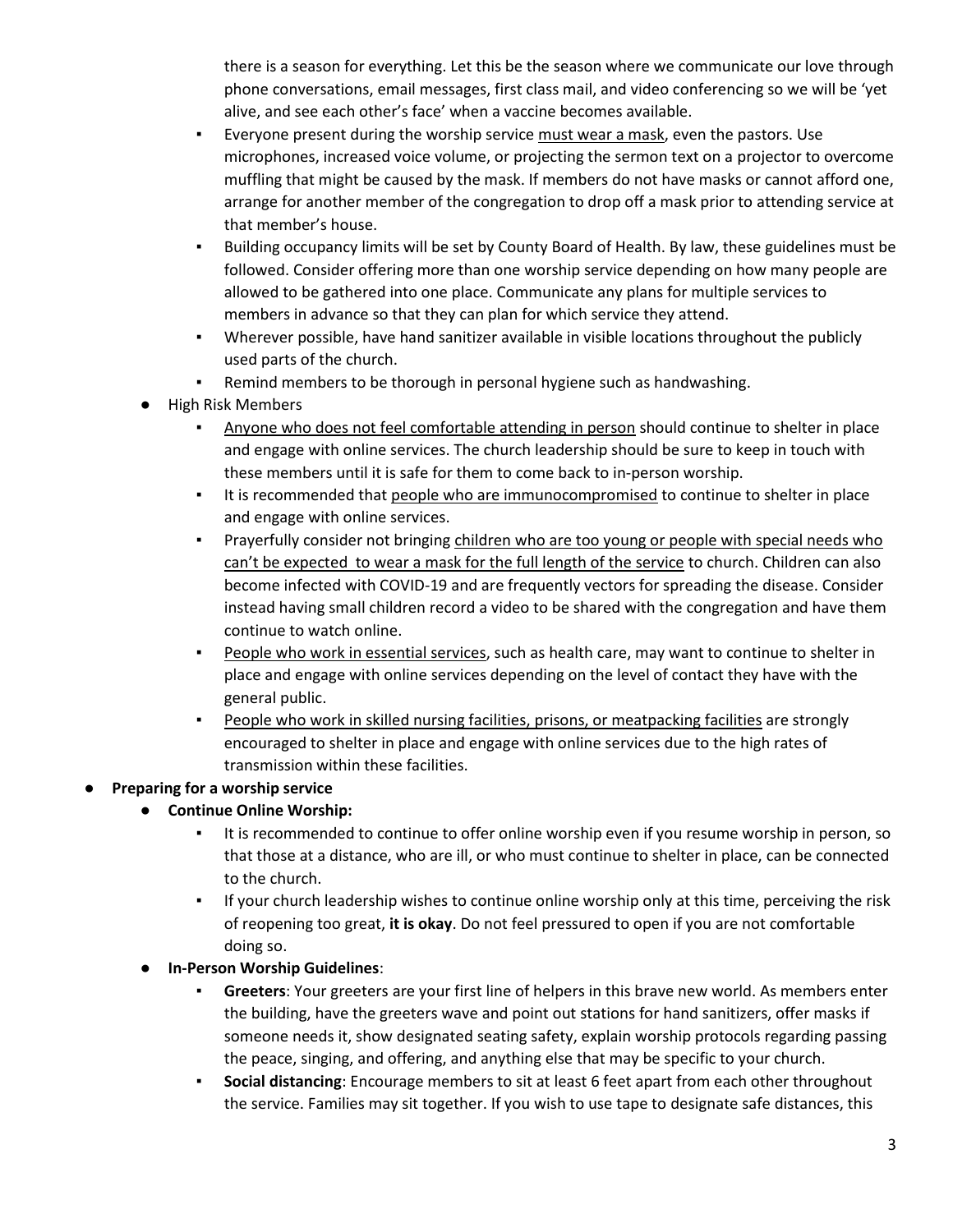there is a season for everything. Let this be the season where we communicate our love through phone conversations, email messages, first class mail, and video conferencing so we will be 'yet alive, and see each other's face' when a vaccine becomes available.

- Everyone present during the worship service must wear a mask, even the pastors. Use microphones, increased voice volume, or projecting the sermon text on a projector to overcome muffling that might be caused by the mask. If members do not have masks or cannot afford one, arrange for another member of the congregation to drop off a mask prior to attending service at that member's house.
- Building occupancy limits will be set by County Board of Health. By law, these guidelines must be followed. Consider offering more than one worship service depending on how many people are allowed to be gathered into one place. Communicate any plans for multiple services to members in advance so that they can plan for which service they attend.
- Wherever possible, have hand sanitizer available in visible locations throughout the publicly used parts of the church.
- Remind members to be thorough in personal hygiene such as handwashing.
- **High Risk Members** 
	- Anyone who does not feel comfortable attending in person should continue to shelter in place and engage with online services. The church leadership should be sure to keep in touch with these members until it is safe for them to come back to in-person worship.
	- **.** It is recommended that people who are immunocompromised to continue to shelter in place and engage with online services.
	- Prayerfully consider not bringing children who are too young or people with special needs who can't be expected to wear a mask for the full length of the service to church. Children can also become infected with COVID-19 and are frequently vectors for spreading the disease. Consider instead having small children record a video to be shared with the congregation and have them continue to watch online.
	- **•** People who work in essential services, such as health care, may want to continue to shelter in place and engage with online services depending on the level of contact they have with the general public.
	- People who work in skilled nursing facilities, prisons, or meatpacking facilities are strongly encouraged to shelter in place and engage with online services due to the high rates of transmission within these facilities.

# ● **Preparing for a worship service**

- **Continue Online Worship:** 
	- It is recommended to continue to offer online worship even if you resume worship in person, so that those at a distance, who are ill, or who must continue to shelter in place, can be connected to the church.
	- **•** If your church leadership wishes to continue online worship only at this time, perceiving the risk of reopening too great, **it is okay**. Do not feel pressured to open if you are not comfortable doing so.

### ● **In-Person Worship Guidelines**:

- Greeters: Your greeters are your first line of helpers in this brave new world. As members enter the building, have the greeters wave and point out stations for hand sanitizers, offer masks if someone needs it, show designated seating safety, explain worship protocols regarding passing the peace, singing, and offering, and anything else that may be specific to your church.
- **Social distancing**: Encourage members to sit at least 6 feet apart from each other throughout the service. Families may sit together. If you wish to use tape to designate safe distances, this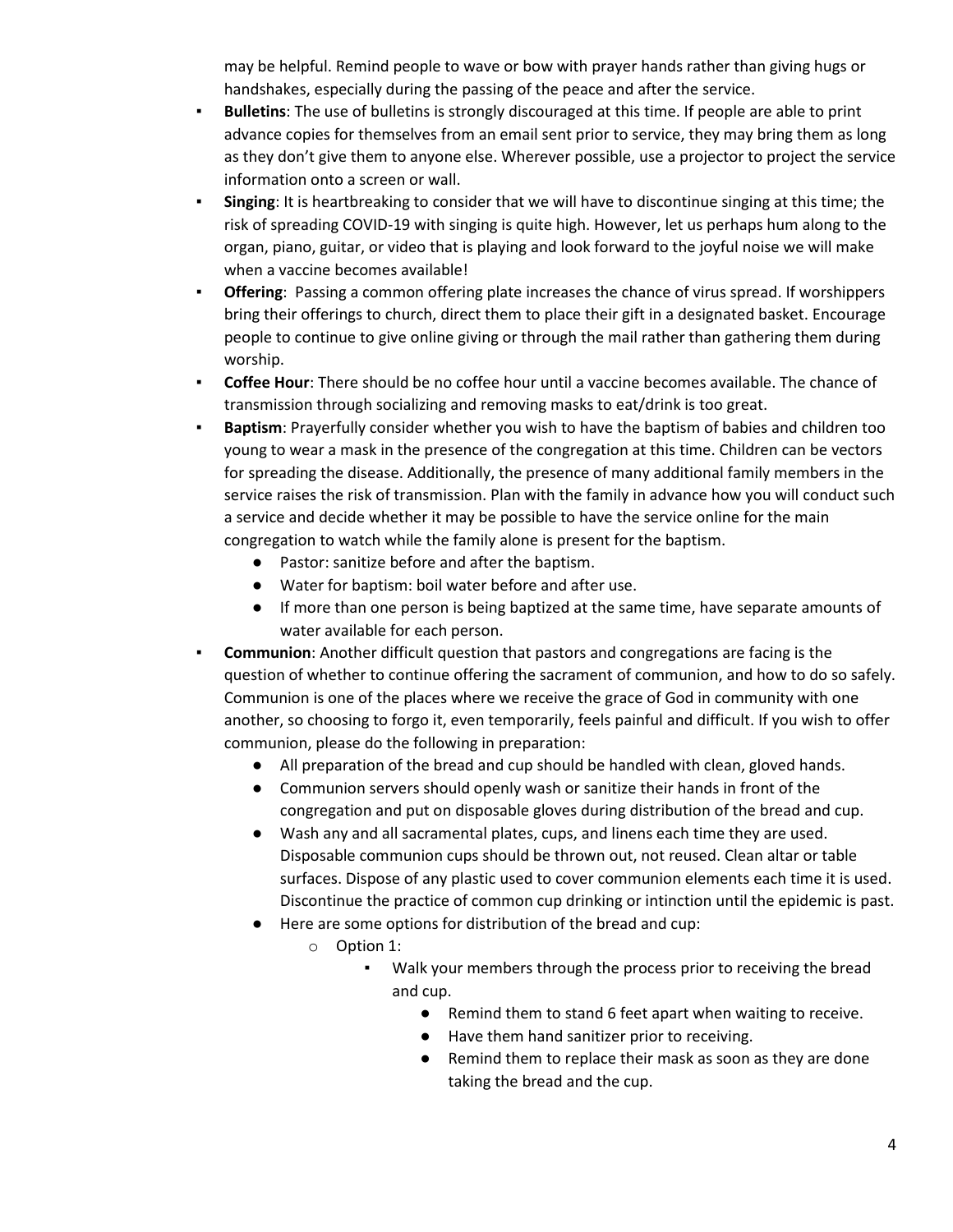may be helpful. Remind people to wave or bow with prayer hands rather than giving hugs or handshakes, especially during the passing of the peace and after the service.

- **Bulletins**: The use of bulletins is strongly discouraged at this time. If people are able to print advance copies for themselves from an email sent prior to service, they may bring them as long as they don't give them to anyone else. Wherever possible, use a projector to project the service information onto a screen or wall.
- **Singing**: It is heartbreaking to consider that we will have to discontinue singing at this time; the risk of spreading COVID-19 with singing is quite high. However, let us perhaps hum along to the organ, piano, guitar, or video that is playing and look forward to the joyful noise we will make when a vaccine becomes available!
- **Offering:** Passing a common offering plate increases the chance of virus spread. If worshippers bring their offerings to church, direct them to place their gift in a designated basket. Encourage people to continue to give online giving or through the mail rather than gathering them during worship.
- **Coffee Hour**: There should be no coffee hour until a vaccine becomes available. The chance of transmission through socializing and removing masks to eat/drink is too great.
- **Baptism**: Prayerfully consider whether you wish to have the baptism of babies and children too young to wear a mask in the presence of the congregation at this time. Children can be vectors for spreading the disease. Additionally, the presence of many additional family members in the service raises the risk of transmission. Plan with the family in advance how you will conduct such a service and decide whether it may be possible to have the service online for the main congregation to watch while the family alone is present for the baptism.
	- Pastor: sanitize before and after the baptism.
	- Water for baptism: boil water before and after use.
	- If more than one person is being baptized at the same time, have separate amounts of water available for each person.
- **Communion**: Another difficult question that pastors and congregations are facing is the question of whether to continue offering the sacrament of communion, and how to do so safely. Communion is one of the places where we receive the grace of God in community with one another, so choosing to forgo it, even temporarily, feels painful and difficult. If you wish to offer communion, please do the following in preparation:
	- All preparation of the bread and cup should be handled with clean, gloved hands.
	- Communion servers should openly wash or sanitize their hands in front of the congregation and put on disposable gloves during distribution of the bread and cup.
	- Wash any and all sacramental plates, cups, and linens each time they are used. Disposable communion cups should be thrown out, not reused. Clean altar or table surfaces. Dispose of any plastic used to cover communion elements each time it is used. Discontinue the practice of common cup drinking or intinction until the epidemic is past.
	- Here are some options for distribution of the bread and cup:
		- o Option 1:
			- Walk your members through the process prior to receiving the bread and cup.
				- Remind them to stand 6 feet apart when waiting to receive.
				- Have them hand sanitizer prior to receiving.
				- Remind them to replace their mask as soon as they are done taking the bread and the cup.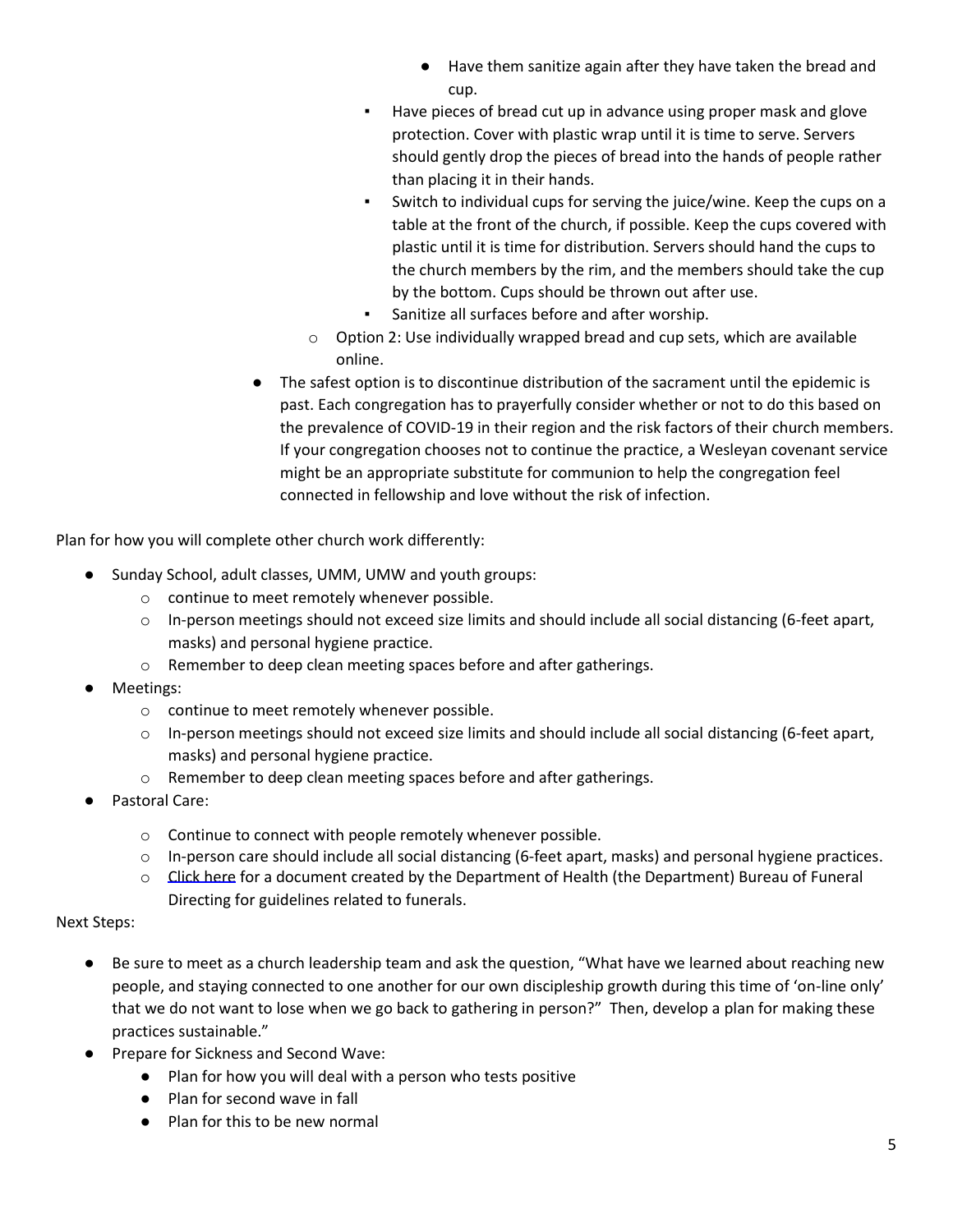- Have them sanitize again after they have taken the bread and cup.
- Have pieces of bread cut up in advance using proper mask and glove protection. Cover with plastic wrap until it is time to serve. Servers should gently drop the pieces of bread into the hands of people rather than placing it in their hands.
- Switch to individual cups for serving the juice/wine. Keep the cups on a table at the front of the church, if possible. Keep the cups covered with plastic until it is time for distribution. Servers should hand the cups to the church members by the rim, and the members should take the cup by the bottom. Cups should be thrown out after use.
- Sanitize all surfaces before and after worship.
- $\circ$  Option 2: Use individually wrapped bread and cup sets, which are available online.
- The safest option is to discontinue distribution of the sacrament until the epidemic is past. Each congregation has to prayerfully consider whether or not to do this based on the prevalence of COVID-19 in their region and the risk factors of their church members. If your congregation chooses not to continue the practice, a Wesleyan covenant service might be an appropriate substitute for communion to help the congregation feel connected in fellowship and love without the risk of infection.

Plan for how you will complete other church work differently:

- Sunday School, adult classes, UMM, UMW and youth groups:
	- o continue to meet remotely whenever possible.
	- $\circ$  In-person meetings should not exceed size limits and should include all social distancing (6-feet apart, masks) and personal hygiene practice.
	- o Remember to deep clean meeting spaces before and after gatherings.
- Meetings:
	- o continue to meet remotely whenever possible.
	- $\circ$  In-person meetings should not exceed size limits and should include all social distancing (6-feet apart, masks) and personal hygiene practice.
	- o Remember to deep clean meeting spaces before and after gatherings.
- Pastoral Care:
	- o Continue to connect with people remotely whenever possible.
	- $\circ$  In-person care should include all social distancing (6-feet apart, masks) and personal hygiene practices.
	- o [Click here](https://www.unyumc.org/images/uploads/NYS_DEPT._OF_HEALTH_covid19_funeraldirectorletter_.pdf) for a document created by the Department of Health (the Department) Bureau of Funeral Directing for guidelines related to funerals.

#### Next Steps:

- Be sure to meet as a church leadership team and ask the question, "What have we learned about reaching new people, and staying connected to one another for our own discipleship growth during this time of 'on-line only' that we do not want to lose when we go back to gathering in person?" Then, develop a plan for making these practices sustainable."
- Prepare for Sickness and Second Wave:
	- Plan for how you will deal with a person who tests positive
	- Plan for second wave in fall
	- Plan for this to be new normal